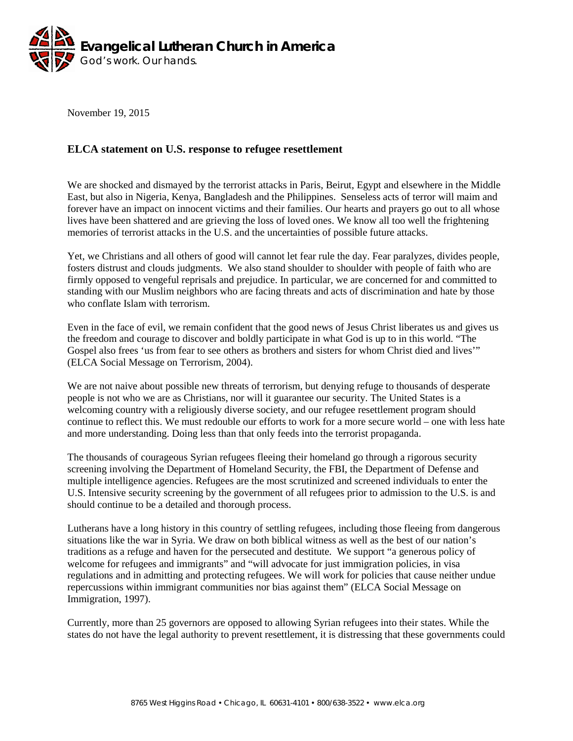

November 19, 2015

## **ELCA statement on U.S. response to refugee resettlement**

We are shocked and dismayed by the terrorist attacks in Paris, Beirut, Egypt and elsewhere in the Middle East, but also in Nigeria, Kenya, Bangladesh and the Philippines. Senseless acts of terror will maim and forever have an impact on innocent victims and their families. Our hearts and prayers go out to all whose lives have been shattered and are grieving the loss of loved ones. We know all too well the frightening memories of terrorist attacks in the U.S. and the uncertainties of possible future attacks.

Yet, we Christians and all others of good will cannot let fear rule the day. Fear paralyzes, divides people, fosters distrust and clouds judgments. We also stand shoulder to shoulder with people of faith who are firmly opposed to vengeful reprisals and prejudice. In particular, we are concerned for and committed to standing with our Muslim neighbors who are facing threats and acts of discrimination and hate by those who conflate Islam with terrorism.

Even in the face of evil, we remain confident that the good news of Jesus Christ liberates us and gives us the freedom and courage to discover and boldly participate in what God is up to in this world. "The Gospel also frees 'us from fear to see others as brothers and sisters for whom Christ died and lives'" (ELCA Social Message on Terrorism, 2004).

We are not naive about possible new threats of terrorism, but denying refuge to thousands of desperate people is not who we are as Christians, nor will it guarantee our security. The United States is a welcoming country with a religiously diverse society, and our refugee resettlement program should continue to reflect this. We must redouble our efforts to work for a more secure world – one with less hate and more understanding. Doing less than that only feeds into the terrorist propaganda.

The thousands of courageous Syrian refugees fleeing their homeland go through a rigorous security screening involving the Department of Homeland Security, the FBI, the Department of Defense and multiple intelligence agencies. Refugees are the most scrutinized and screened individuals to enter the U.S. Intensive security screening by the government of all refugees prior to admission to the U.S. is and should continue to be a detailed and thorough process.

Lutherans have a long history in this country of settling refugees, including those fleeing from dangerous situations like the war in Syria. We draw on both biblical witness as well as the best of our nation's traditions as a refuge and haven for the persecuted and destitute. We support "a generous policy of welcome for refugees and immigrants" and "will advocate for just immigration policies, in visa regulations and in admitting and protecting refugees. We will work for policies that cause neither undue repercussions within immigrant communities nor bias against them" (ELCA Social Message on Immigration, 1997).

Currently, more than 25 governors are opposed to allowing Syrian refugees into their states. While the states do not have the legal authority to prevent resettlement, it is distressing that these governments could